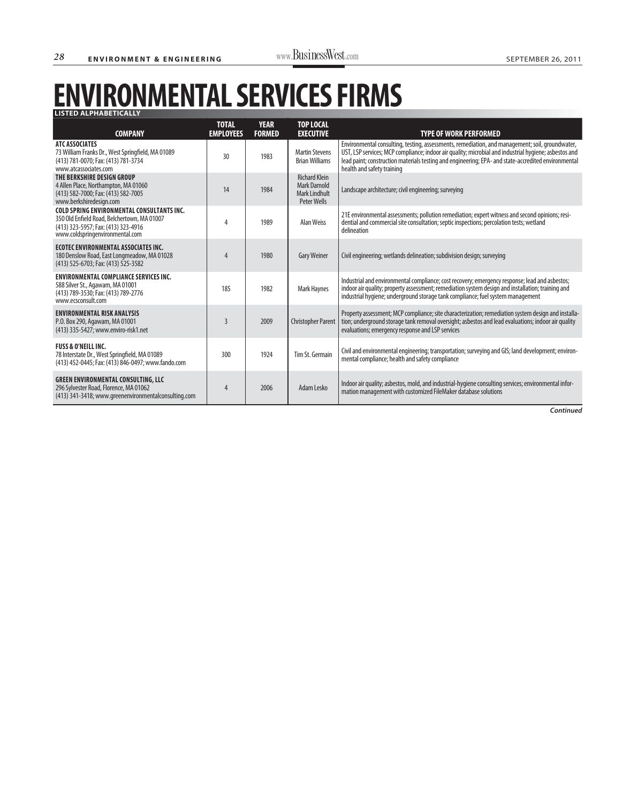## **ENVIRONMENTAL SERVICES FIRMS LISTED ALPHABETICALLY**

| <b>COMPANY</b>                                                                                                                                                             | <b>TOTAL</b><br><b>EMPLOYEES</b> | <b>YEAR</b><br><b>FORMED</b> | <b>TOP LOCAL</b><br><b>EXECUTIVE</b>                                               | <b>TYPE OF WORK PERFORMED</b>                                                                                                                                                                                                                                                                                                                 |
|----------------------------------------------------------------------------------------------------------------------------------------------------------------------------|----------------------------------|------------------------------|------------------------------------------------------------------------------------|-----------------------------------------------------------------------------------------------------------------------------------------------------------------------------------------------------------------------------------------------------------------------------------------------------------------------------------------------|
| <b>ATC ASSOCIATES</b><br>73 William Franks Dr., West Springfield, MA 01089<br>(413) 781-0070; Fax: (413) 781-3734<br>www.atcassociates.com                                 | 30                               | 1983                         | <b>Martin Stevens</b><br><b>Brian Williams</b>                                     | Environmental consulting, testing, assessments, remediation, and management; soil, groundwater,<br>UST, LSP services; MCP compliance; indoor air quality; microbial and industrial hygiene; asbestos and<br>lead paint; construction materials testing and engineering; EPA- and state-accredited environmental<br>health and safety training |
| THE BERKSHIRE DESIGN GROUP<br>4 Allen Place, Northampton, MA 01060<br>(413) 582-7000; Fax: (413) 582-7005<br>www.berkshiredesign.com                                       | 14                               | 1984                         | <b>Richard Klein</b><br><b>Mark Darnold</b><br><b>Mark Lindhult</b><br>Peter Wells | Landscape architecture; civil engineering; surveying                                                                                                                                                                                                                                                                                          |
| <b>COLD SPRING ENVIRONMENTAL CONSULTANTS INC.</b><br>350 Old Enfield Road, Belchertown, MA 01007<br>(413) 323-5957; Fax: (413) 323-4916<br>www.coldspringenvironmental.com | 4                                | 1989                         | <b>Alan Weiss</b>                                                                  | 21E environmental assessments; pollution remediation; expert witness and second opinions; resi-<br>dential and commercial site consultation; septic inspections; percolation tests; wetland<br>delineation                                                                                                                                    |
| <b>ECOTEC ENVIRONMENTAL ASSOCIATES INC.</b><br>180 Denslow Road, East Longmeadow, MA 01028<br>(413) 525-6703; Fax: (413) 525-3582                                          | 4                                | 1980                         | <b>Gary Weiner</b>                                                                 | Civil engineering; wetlands delineation; subdivision design; surveying                                                                                                                                                                                                                                                                        |
| <b>ENVIRONMENTAL COMPLIANCE SERVICES INC.</b><br>588 Silver St., Agawam, MA 01001<br>(413) 789-3530; Fax: (413) 789-2776<br>www.ecsconsult.com                             | 185                              | 1982                         | <b>Mark Haynes</b>                                                                 | Industrial and environmental compliance; cost recovery; emergency response; lead and asbestos;<br>indoor air quality; property assessment; remediation system design and installation; training and<br>industrial hygiene; underground storage tank compliance; fuel system management                                                        |
| <b>ENVIRONMENTAL RISK ANALYSIS</b><br>P.O. Box 290, Agawam, MA 01001<br>(413) 335-5427; www.enviro-risk1.net                                                               | 3                                | 2009                         | <b>Christopher Parent</b>                                                          | Property assessment; MCP compliance; site characterization; remediation system design and installa-<br>tion; underground storage tank removal oversight; asbestos and lead evaluations; indoor air quality<br>evaluations; emergency response and LSP services                                                                                |
| <b>FUSS &amp; O'NEILL INC.</b><br>78 Interstate Dr., West Springfield, MA 01089<br>(413) 452-0445; Fax: (413) 846-0497; www.fando.com                                      | 300                              | 1924                         | Tim St. Germain                                                                    | Civil and environmental engineering; transportation; surveying and GIS; land development; environ-<br>mental compliance; health and safety compliance                                                                                                                                                                                         |
| <b>GREEN ENVIRONMENTAL CONSULTING, LLC</b><br>296 Sylvester Road, Florence, MA 01062<br>(413) 341-3418; www.greenenvironmentalconsulting.com                               | 4                                | 2006                         | Adam Lesko                                                                         | Indoor air quality; asbestos, mold, and industrial-hygiene consulting services; environmental infor-<br>mation management with customized FileMaker database solutions                                                                                                                                                                        |

*Continued*